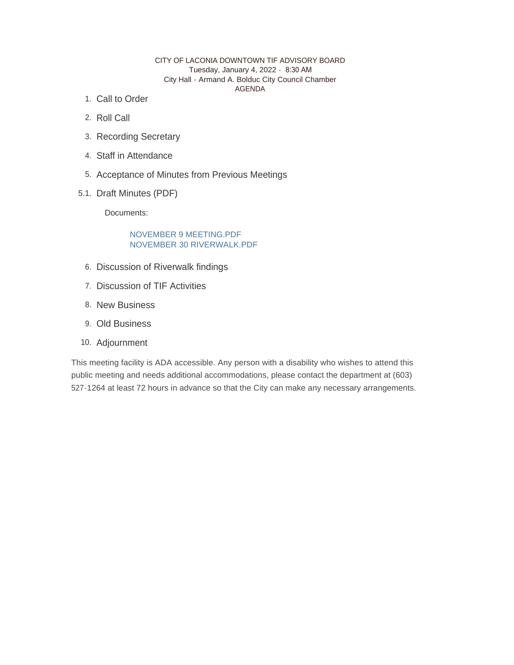#### CITY OF LACONIA DOWNTOWN TIF ADVISORY BOARD Tuesday, January 4, 2022 - 8:30 AM City Hall - Armand A. Bolduc City Council Chamber AGENDA

- 1. Call to Order
- 2. Roll Call
- 3. Recording Secretary
- Staff in Attendance 4.
- 5. Acceptance of Minutes from Previous Meetings
- 5.1. Draft Minutes (PDF)

Documents:

## NOVEMBER 9 MEETING.PDF NOVEMBER 30 RIVERWALK.PDF

- 6. Discussion of Riverwalk findings
- 7. Discussion of TIF Activities
- 8. New Business
- 9. Old Business
- 10. Adjournment

This meeting facility is ADA accessible. Any person with a disability who wishes to attend this public meeting and needs additional accommodations, please contact the department at (603) 527-1264 at least 72 hours in advance so that the City can make any necessary arrangements.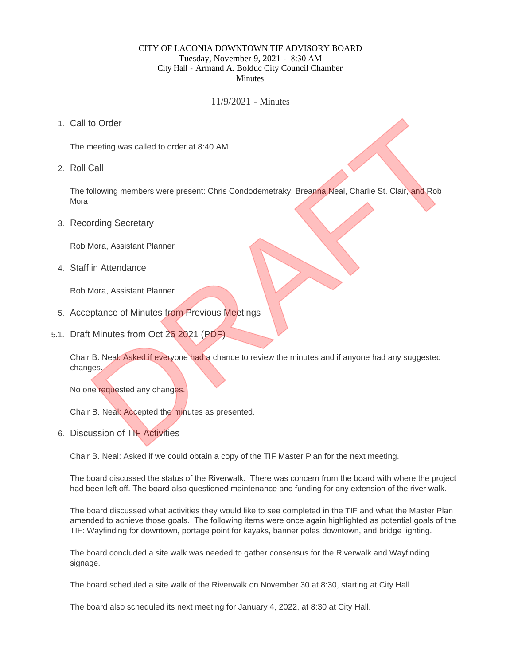## CITY OF LACONIA DOWNTOWN TIF ADVISORY BOARD Tuesday, November 9, 2021 - 8:30 AM City Hall - Armand A. Bolduc City Council Chamber **Minutes**

11/9/2021 - Minutes

1. Call to Order

The meeting was called to order at 8:40 AM.

2. Roll Call

The following members were present: Chris Condodemetraky, Breanna Neal, Charlie St. Clair, and Rob Mora to Order<br>
meeting was called to order at 8:40 AM.<br>
Call<br>
Collwing members were present: Chris Condodemetraky, Breanna Neal, Charlie St. Clair, and Rob<br>
Ording Secretary<br>
Mora, Assistant Planner<br>
in Attendance<br>
Mora, Assist

3. Recording Secretary

Rob Mora, Assistant Planner

Staff in Attendance 4.

Rob Mora, Assistant Planner

- 5. Acceptance of Minutes from Previous Meetings
- 5.1. Draft Minutes from Oct 26 2021 (PDF)

Chair B. Neal: Asked if everyone had a chance to review the minutes and if anyone had any suggested changes.

No one requested any changes.

Chair B. Neal: Accepted the minutes as presented.

6. Discussion of TIF Activities

Chair B. Neal: Asked if we could obtain a copy of the TIF Master Plan for the next meeting.

The board discussed the status of the Riverwalk. There was concern from the board with where the project had been left off. The board also questioned maintenance and funding for any extension of the river walk.

The board discussed what activities they would like to see completed in the TIF and what the Master Plan amended to achieve those goals. The following items were once again highlighted as potential goals of the TIF: Wayfinding for downtown, portage point for kayaks, banner poles downtown, and bridge lighting.

The board concluded a site walk was needed to gather consensus for the Riverwalk and Wayfinding signage.

The board scheduled a site walk of the Riverwalk on November 30 at 8:30, starting at City Hall.

The board also scheduled its next meeting for January 4, 2022, at 8:30 at City Hall.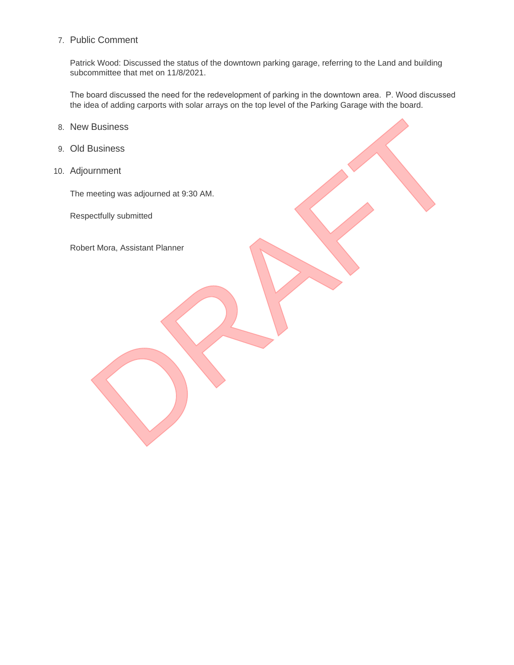# 7. Public Comment

Patrick Wood: Discussed the status of the downtown parking garage, referring to the Land and building subcommittee that met on 11/8/2021.

The board discussed the need for the redevelopment of parking in the downtown area. P. Wood discussed the idea of adding carports with solar arrays on the top level of the Parking Garage with the board.

- 8. New Business
- 9. Old Business
- Adjournment 10.

The meeting was adjourned at 9:30 AM. Business<br>Business<br>umment<br>ectully submitted<br>Int Mora, Assistant Planner<br>Submitted<br>Submitted

Respectfully submitted

Robert Mora, Assistant Planner